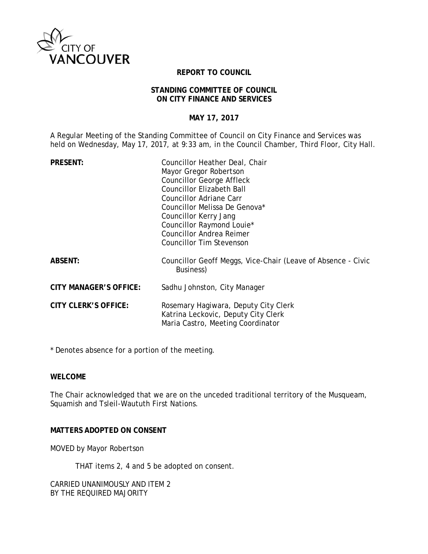

## **REPORT TO COUNCIL**

#### **STANDING COMMITTEE OF COUNCIL ON CITY FINANCE AND SERVICES**

# **MAY 17, 2017**

A Regular Meeting of the Standing Committee of Council on City Finance and Services was held on Wednesday, May 17, 2017, at 9:33 am, in the Council Chamber, Third Floor, City Hall.

| <b>PRESENT:</b>               | Councillor Heather Deal, Chair                                                                                   |
|-------------------------------|------------------------------------------------------------------------------------------------------------------|
|                               | Mayor Gregor Robertson                                                                                           |
|                               | <b>Councillor George Affleck</b>                                                                                 |
|                               | <b>Councillor Elizabeth Ball</b>                                                                                 |
|                               | <b>Councillor Adriane Carr</b>                                                                                   |
|                               | Councillor Melissa De Genova*                                                                                    |
|                               | Councillor Kerry Jang                                                                                            |
|                               | Councillor Raymond Louie*                                                                                        |
|                               | <b>Councillor Andrea Reimer</b>                                                                                  |
|                               | Councillor Tim Stevenson                                                                                         |
| <b>ABSENT:</b>                | Councillor Geoff Meggs, Vice-Chair (Leave of Absence - Civic<br>Business)                                        |
| <b>CITY MANAGER'S OFFICE:</b> | Sadhu Johnston, City Manager                                                                                     |
| <b>CITY CLERK'S OFFICE:</b>   | Rosemary Hagiwara, Deputy City Clerk<br>Katrina Leckovic, Deputy City Clerk<br>Maria Castro, Meeting Coordinator |

\* Denotes absence for a portion of the meeting.

## **WELCOME**

The Chair acknowledged that we are on the unceded traditional territory of the Musqueam, Squamish and Tsleil-Waututh First Nations.

## **MATTERS ADOPTED ON CONSENT**

MOVED by Mayor Robertson

THAT items 2, 4 and 5 be adopted on consent.

CARRIED UNANIMOUSLY AND ITEM 2 BY THE REQUIRED MAJORITY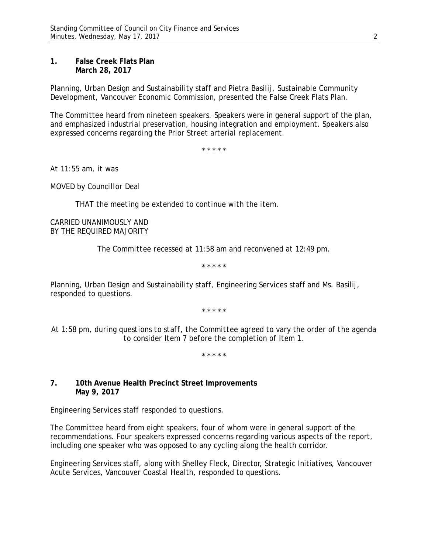## **1. False Creek Flats Plan March 28, 2017**

Planning, Urban Design and Sustainability staff and Pietra Basilij, Sustainable Community Development, Vancouver Economic Commission, presented the False Creek Flats Plan.

The Committee heard from nineteen speakers. Speakers were in general support of the plan, and emphasized industrial preservation, housing integration and employment. Speakers also expressed concerns regarding the Prior Street arterial replacement.

\* \* \* \* \*

*At 11:55 am, it was*

*MOVED by Councillor Deal*

*THAT the meeting be extended to continue with the item.* 

*CARRIED UNANIMOUSLY AND BY THE REQUIRED MAJORITY*

*The Committee recessed at 11:58 am and reconvened at 12:49 pm.*

\* \* \* \* \*

Planning, Urban Design and Sustainability staff, Engineering Services staff and Ms. Basilij, responded to questions.

\* \* \* \* \*

*At 1:58 pm, during questions to staff, the Committee agreed to vary the order of the agenda to consider Item 7 before the completion of Item 1.*

\* \* \* \* \*

## **7. 10th Avenue Health Precinct Street Improvements May 9, 2017**

Engineering Services staff responded to questions.

The Committee heard from eight speakers, four of whom were in general support of the recommendations. Four speakers expressed concerns regarding various aspects of the report, including one speaker who was opposed to any cycling along the health corridor.

Engineering Services staff, along with Shelley Fleck, Director, Strategic Initiatives, Vancouver Acute Services, Vancouver Coastal Health, responded to questions.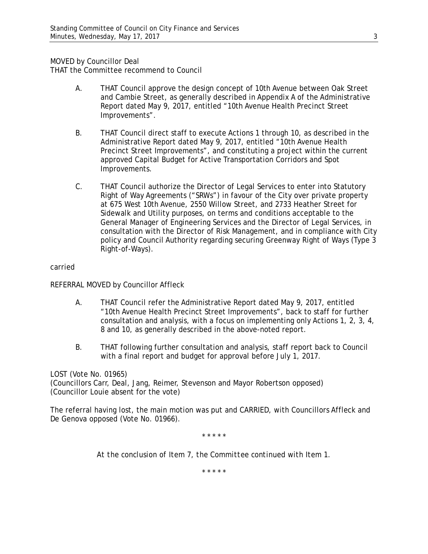MOVED by Councillor Deal

THAT the Committee recommend to Council

- A. THAT Council approve the design concept of 10th Avenue between Oak Street and Cambie Street, as generally described in Appendix A of the Administrative Report dated May 9, 2017, entitled "10th Avenue Health Precinct Street Improvements".
- B. THAT Council direct staff to execute Actions 1 through 10, as described in the Administrative Report dated May 9, 2017, entitled "10th Avenue Health Precinct Street Improvements", and constituting a project within the current approved Capital Budget for Active Transportation Corridors and Spot Improvements.
- C. THAT Council authorize the Director of Legal Services to enter into Statutory Right of Way Agreements ("SRWs") in favour of the City over private property at 675 West 10th Avenue, 2550 Willow Street, and 2733 Heather Street for Sidewalk and Utility purposes, on terms and conditions acceptable to the General Manager of Engineering Services and the Director of Legal Services, in consultation with the Director of Risk Management, and in compliance with City policy and Council Authority regarding securing Greenway Right of Ways (Type 3 Right-of-Ways).

## carried

REFERRAL MOVED by Councillor Affleck

- A. THAT Council refer the Administrative Report dated May 9, 2017, entitled "10th Avenue Health Precinct Street Improvements", back to staff for further consultation and analysis, with a focus on implementing only Actions 1, 2, 3, 4, 8 and 10, as generally described in the above-noted report.
- B. THAT following further consultation and analysis, staff report back to Council with a final report and budget for approval before July 1, 2017.

## LOST (Vote No. 01965)

(Councillors Carr, Deal, Jang, Reimer, Stevenson and Mayor Robertson opposed) (Councillor Louie absent for the vote)

The referral having lost, the main motion was put and CARRIED, with Councillors Affleck and De Genova opposed (Vote No. 01966).

\* \* \* \* \*

*At the conclusion of Item 7, the Committee continued with Item 1.*

\* \* \* \* \*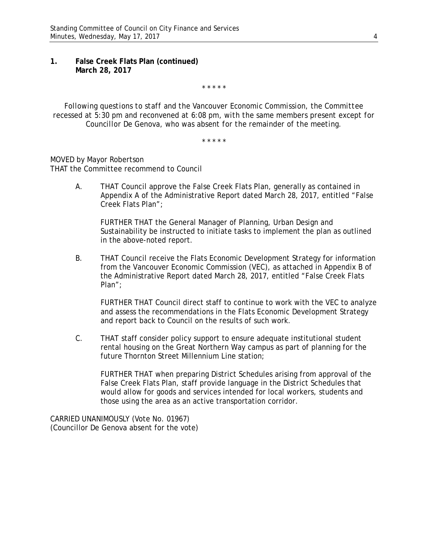### **1. False Creek Flats Plan (continued) March 28, 2017**

\* \* \* \* \*

*Following questions to staff and the Vancouver Economic Commission, the Committee recessed at 5:30 pm and reconvened at 6:08 pm, with the same members present except for Councillor De Genova, who was absent for the remainder of the meeting.*

\* \* \* \* \*

MOVED by Mayor Robertson THAT the Committee recommend to Council

> A. THAT Council approve the False Creek Flats Plan, generally as contained in Appendix A of the Administrative Report dated March 28, 2017, entitled "False Creek Flats Plan";

FURTHER THAT the General Manager of Planning, Urban Design and Sustainability be instructed to initiate tasks to implement the plan as outlined in the above-noted report.

B. THAT Council receive the Flats Economic Development Strategy for information from the Vancouver Economic Commission (VEC), as attached in Appendix B of the Administrative Report dated March 28, 2017, entitled "False Creek Flats Plan";

FURTHER THAT Council direct staff to continue to work with the VEC to analyze and assess the recommendations in the Flats Economic Development Strategy and report back to Council on the results of such work.

C. THAT staff consider policy support to ensure adequate institutional student rental housing on the Great Northern Way campus as part of planning for the future Thornton Street Millennium Line station;

FURTHER THAT when preparing District Schedules arising from approval of the False Creek Flats Plan, staff provide language in the District Schedules that would allow for goods and services intended for local workers, students and those using the area as an active transportation corridor.

CARRIED UNANIMOUSLY (Vote No. 01967) (Councillor De Genova absent for the vote)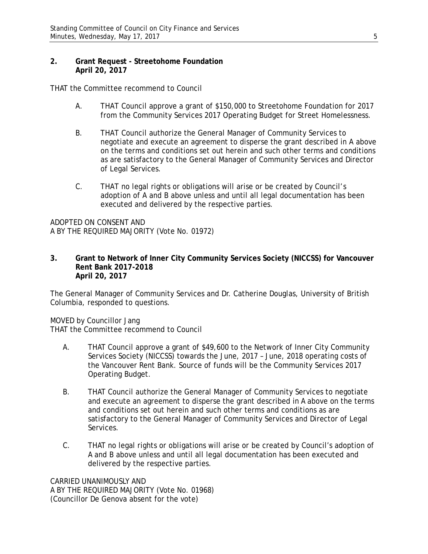## **2. Grant Request - Streetohome Foundation April 20, 2017**

THAT the Committee recommend to Council

- A. THAT Council approve a grant of \$150,000 to Streetohome Foundation for 2017 from the Community Services 2017 Operating Budget for Street Homelessness.
- B. THAT Council authorize the General Manager of Community Services to negotiate and execute an agreement to disperse the grant described in A above on the terms and conditions set out herein and such other terms and conditions as are satisfactory to the General Manager of Community Services and Director of Legal Services.
- C. THAT no legal rights or obligations will arise or be created by Council's adoption of A and B above unless and until all legal documentation has been executed and delivered by the respective parties.

ADOPTED ON CONSENT AND A BY THE REQUIRED MAJORITY (Vote No. 01972)

#### **3. Grant to Network of Inner City Community Services Society (NICCSS) for Vancouver Rent Bank 2017-2018 April 20, 2017**

The General Manager of Community Services and Dr. Catherine Douglas, University of British Columbia, responded to questions.

MOVED by Councillor Jang

THAT the Committee recommend to Council

- A. THAT Council approve a grant of \$49,600 to the Network of Inner City Community Services Society (NICCSS) towards the June, 2017 – June, 2018 operating costs of the Vancouver Rent Bank. Source of funds will be the Community Services 2017 Operating Budget.
- B. THAT Council authorize the General Manager of Community Services to negotiate and execute an agreement to disperse the grant described in A above on the terms and conditions set out herein and such other terms and conditions as are satisfactory to the General Manager of Community Services and Director of Legal Services.
- C. THAT no legal rights or obligations will arise or be created by Council's adoption of A and B above unless and until all legal documentation has been executed and delivered by the respective parties.

CARRIED UNANIMOUSLY AND A BY THE REQUIRED MAJORITY (Vote No. 01968) (Councillor De Genova absent for the vote)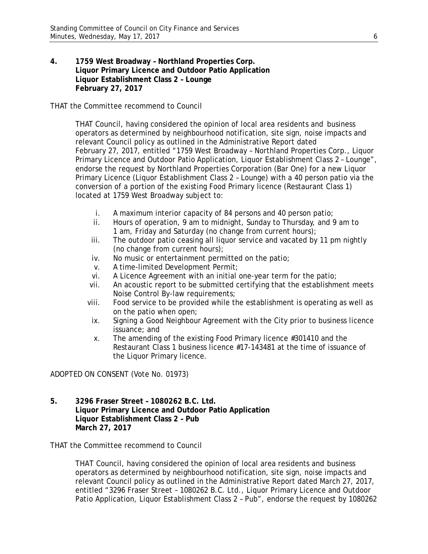**4. 1759 West Broadway – Northland Properties Corp. Liquor Primary Licence and Outdoor Patio Application Liquor Establishment Class 2 – Lounge February 27, 2017**

THAT the Committee recommend to Council

THAT Council, having considered the opinion of local area residents and business operators as determined by neighbourhood notification, site sign, noise impacts and relevant Council policy as outlined in the Administrative Report dated February 27, 2017, entitled "1759 West Broadway – Northland Properties Corp., Liquor Primary Licence and Outdoor Patio Application, Liquor Establishment Class 2 – Lounge", endorse the request by Northland Properties Corporation (Bar One) for a new Liquor Primary Licence (Liquor Establishment Class 2 – Lounge) with a 40 person patio via the conversion of a portion of the existing Food Primary licence (Restaurant Class 1) located at 1759 West Broadway subject to:

- i. A maximum interior capacity of 84 persons and 40 person patio;
- ii. Hours of operation, 9 am to midnight, Sunday to Thursday, and 9 am to 1 am, Friday and Saturday (no change from current hours);
- iii. The outdoor patio ceasing all liquor service and vacated by 11 pm nightly (no change from current hours);
- iv. No music or entertainment permitted on the patio;
- v. A time-limited Development Permit;
- vi. A Licence Agreement with an initial one-year term for the patio;
- vii. An acoustic report to be submitted certifying that the establishment meets Noise Control By-law requirements;
- viii. Food service to be provided while the establishment is operating as well as on the patio when open;
- ix. Signing a Good Neighbour Agreement with the City prior to business licence issuance; and
- x. The amending of the existing Food Primary licence #301410 and the Restaurant Class 1 business licence #17-143481 at the time of issuance of the Liquor Primary licence.

ADOPTED ON CONSENT (Vote No. 01973)

**5. 3296 Fraser Street – 1080262 B.C. Ltd. Liquor Primary Licence and Outdoor Patio Application Liquor Establishment Class 2 – Pub March 27, 2017**

THAT the Committee recommend to Council

THAT Council, having considered the opinion of local area residents and business operators as determined by neighbourhood notification, site sign, noise impacts and relevant Council policy as outlined in the Administrative Report dated March 27, 2017, entitled "3296 Fraser Street – 1080262 B.C. Ltd., Liquor Primary Licence and Outdoor Patio Application, Liquor Establishment Class 2 – Pub", endorse the request by 1080262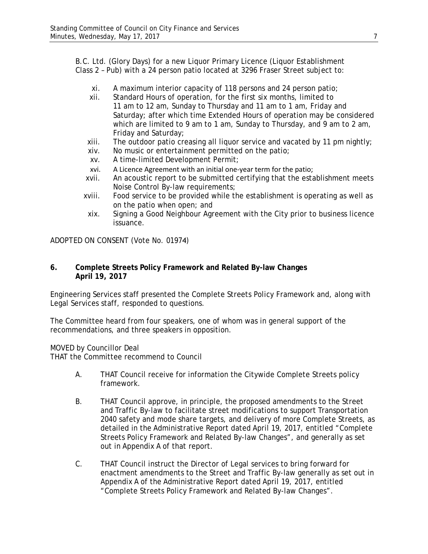B.C. Ltd. (Glory Days) for a new Liquor Primary Licence (Liquor Establishment Class 2 – Pub) with a 24 person patio located at 3296 Fraser Street subject to:

- xi. A maximum interior capacity of 118 persons and 24 person patio;
- xii. Standard Hours of operation, for the first six months, limited to 11 am to 12 am, Sunday to Thursday and 11 am to 1 am, Friday and Saturday; after which time Extended Hours of operation may be considered which are limited to 9 am to 1 am, Sunday to Thursday, and 9 am to 2 am, Friday and Saturday;
- xiii. The outdoor patio creasing all liquor service and vacated by 11 pm nightly;
- xiv. No music or entertainment permitted on the patio;
- xv. A time-limited Development Permit;
- xvi. A Licence Agreement with an initial one-year term for the patio;
- xvii. An acoustic report to be submitted certifying that the establishment meets Noise Control By-law requirements;
- xviii. Food service to be provided while the establishment is operating as well as on the patio when open; and
- xix. Signing a Good Neighbour Agreement with the City prior to business licence issuance.

ADOPTED ON CONSENT (Vote No. 01974)

## **6. Complete Streets Policy Framework and Related By-law Changes April 19, 2017**

Engineering Services staff presented the Complete Streets Policy Framework and, along with Legal Services staff, responded to questions.

The Committee heard from four speakers, one of whom was in general support of the recommendations, and three speakers in opposition.

MOVED by Councillor Deal

THAT the Committee recommend to Council

- A. THAT Council receive for information the Citywide Complete Streets policy framework.
- B. THAT Council approve, in principle, the proposed amendments to the Street and Traffic By-law to facilitate street modifications to support Transportation 2040 safety and mode share targets, and delivery of more Complete Streets, as detailed in the Administrative Report dated April 19, 2017, entitled "Complete Streets Policy Framework and Related By-law Changes", and generally as set out in Appendix A of that report.
- C. THAT Council instruct the Director of Legal services to bring forward for enactment amendments to the Street and Traffic By-law generally as set out in Appendix A of the Administrative Report dated April 19, 2017, entitled "Complete Streets Policy Framework and Related By-law Changes".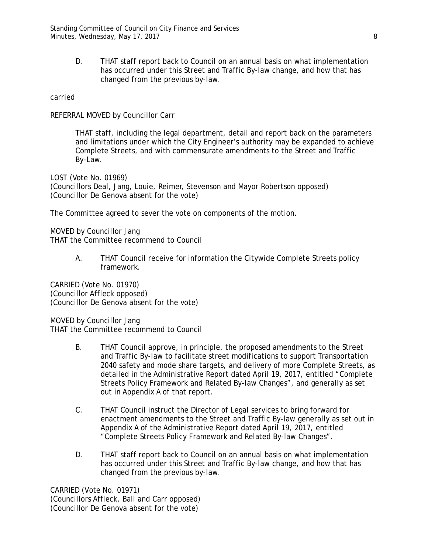D. THAT staff report back to Council on an annual basis on what implementation has occurred under this Street and Traffic By-law change, and how that has changed from the previous by-law.

### carried

REFERRAL MOVED by Councillor Carr

THAT staff, including the legal department, detail and report back on the parameters and limitations under which the City Engineer's authority may be expanded to achieve Complete Streets, and with commensurate amendments to the Street and Traffic By-Law.

LOST (Vote No. 01969) (Councillors Deal, Jang, Louie, Reimer, Stevenson and Mayor Robertson opposed) (Councillor De Genova absent for the vote)

The Committee agreed to sever the vote on components of the motion.

MOVED by Councillor Jang THAT the Committee recommend to Council

> A. THAT Council receive for information the Citywide Complete Streets policy framework.

CARRIED (Vote No. 01970) (Councillor Affleck opposed) (Councillor De Genova absent for the vote)

MOVED by Councillor Jang THAT the Committee recommend to Council

- B. THAT Council approve, in principle, the proposed amendments to the Street and Traffic By-law to facilitate street modifications to support Transportation 2040 safety and mode share targets, and delivery of more Complete Streets, as detailed in the Administrative Report dated April 19, 2017, entitled "Complete Streets Policy Framework and Related By-law Changes", and generally as set out in Appendix A of that report.
- C. THAT Council instruct the Director of Legal services to bring forward for enactment amendments to the Street and Traffic By-law generally as set out in Appendix A of the Administrative Report dated April 19, 2017, entitled "Complete Streets Policy Framework and Related By-law Changes".
- D. THAT staff report back to Council on an annual basis on what implementation has occurred under this Street and Traffic By-law change, and how that has changed from the previous by-law.

CARRIED (Vote No. 01971) (Councillors Affleck, Ball and Carr opposed) (Councillor De Genova absent for the vote)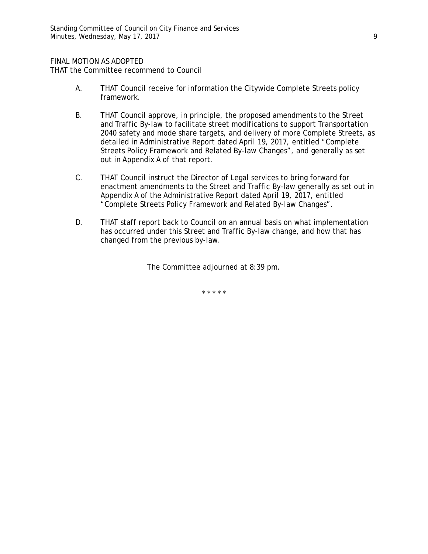### FINAL MOTION AS ADOPTED

THAT the Committee recommend to Council

- A. THAT Council receive for information the Citywide Complete Streets policy framework.
- B. THAT Council approve, in principle, the proposed amendments to the Street and Traffic By-law to facilitate street modifications to support Transportation 2040 safety and mode share targets, and delivery of more Complete Streets, as detailed in Administrative Report dated April 19, 2017, entitled "Complete Streets Policy Framework and Related By-law Changes", and generally as set out in Appendix A of that report.
- C. THAT Council instruct the Director of Legal services to bring forward for enactment amendments to the Street and Traffic By-law generally as set out in Appendix A of the Administrative Report dated April 19, 2017, entitled "Complete Streets Policy Framework and Related By-law Changes".
- D. THAT staff report back to Council on an annual basis on what implementation has occurred under this Street and Traffic By-law change, and how that has changed from the previous by-law.

The Committee adjourned at 8:39 pm.

\* \* \* \* \*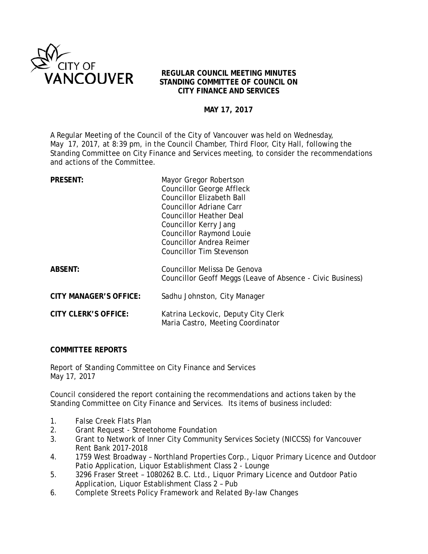

## **REGULAR COUNCIL MEETING MINUTES STANDING COMMITTEE OF COUNCIL ON CITY FINANCE AND SERVICES**

# **MAY 17, 2017**

A Regular Meeting of the Council of the City of Vancouver was held on Wednesday, May 17, 2017, at 8:39 pm, in the Council Chamber, Third Floor, City Hall, following the Standing Committee on City Finance and Services meeting, to consider the recommendations and actions of the Committee.

| <b>PRESENT:</b>               | Mayor Gregor Robertson                                                   |
|-------------------------------|--------------------------------------------------------------------------|
|                               | <b>Councillor George Affleck</b>                                         |
|                               | <b>Councillor Elizabeth Ball</b>                                         |
|                               | Councillor Adriane Carr                                                  |
|                               | Councillor Heather Deal                                                  |
|                               | Councillor Kerry Jang                                                    |
|                               | <b>Councillor Raymond Louie</b>                                          |
|                               | <b>Councillor Andrea Reimer</b>                                          |
|                               | Councillor Tim Stevenson                                                 |
| <b>ABSENT:</b>                | Councillor Melissa De Genova                                             |
|                               | Councillor Geoff Meggs (Leave of Absence - Civic Business)               |
| <b>CITY MANAGER'S OFFICE:</b> | Sadhu Johnston, City Manager                                             |
| <b>CITY CLERK'S OFFICE:</b>   | Katrina Leckovic, Deputy City Clerk<br>Maria Castro, Meeting Coordinator |
|                               |                                                                          |

## **COMMITTEE REPORTS**

Report of Standing Committee on City Finance and Services May 17, 2017

Council considered the report containing the recommendations and actions taken by the Standing Committee on City Finance and Services. Its items of business included:

- 1. False Creek Flats Plan
- 2. Grant Request Streetohome Foundation<br>3. Grant to Network of Inner City Community
- 3. Grant to Network of Inner City Community Services Society (NICCSS) for Vancouver Rent Bank 2017-2018
- 4. 1759 West Broadway Northland Properties Corp., Liquor Primary Licence and Outdoor Patio Application, Liquor Establishment Class 2 - Lounge
- 5. 3296 Fraser Street 1080262 B.C. Ltd., Liquor Primary Licence and Outdoor Patio Application, Liquor Establishment Class 2 – Pub
- 6. Complete Streets Policy Framework and Related By-law Changes